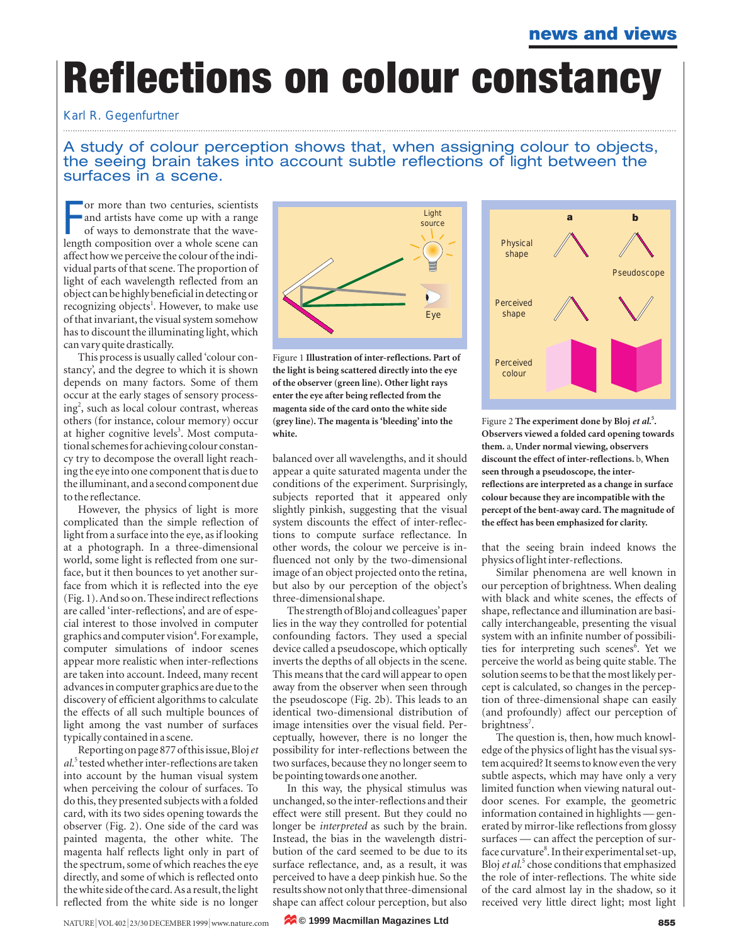# **Reflections on colour constancy**

#### Karl R. Gegenfurtner

### A study of colour perception shows that, when assigning colour to objects, the seeing brain takes into account subtle reflections of light between the surfaces in a scene.

For more than two centuries, scientists<br>and artists have come up with a range<br>of ways to demonstrate that the wave-<br>length composition over a whole scene can or more than two centuries, scientists and artists have come up with a range of ways to demonstrate that the waveaffect how we perceive the colour of the individual parts of that scene. The proportion of light of each wavelength reflected from an object can be highly beneficial in detecting or recognizing objects<sup>1</sup>. However, to make use of that invariant, the visual system somehow has to discount the illuminating light, which can vary quite drastically.

This process is usually called 'colour constancy', and the degree to which it is shown depends on many factors. Some of them occur at the early stages of sensory processing<sup>2</sup>, such as local colour contrast, whereas others (for instance, colour memory) occur at higher cognitive levels<sup>3</sup>. Most computational schemes for achieving colour constancy try to decompose the overall light reaching the eye into one component that is due to the illuminant, and a second component due to the reflectance.

However, the physics of light is more complicated than the simple reflection of light from a surface into the eye, as if looking at a photograph. In a three-dimensional world, some light is reflected from one surface, but it then bounces to yet another surface from which it is reflected into the eye (Fig. 1). And so on. These indirect reflections are called 'inter-reflections', and are of especial interest to those involved in computer graphics and computer vision<sup>4</sup>. For example, computer simulations of indoor scenes appear more realistic when inter-reflections are taken into account. Indeed, many recent advances in computer graphics are due to the discovery of efficient algorithms to calculate the effects of all such multiple bounces of light among the vast number of surfaces typically contained in a scene.

Reporting on page 877 of this issue, Bloj *et al*. <sup>5</sup> tested whether inter-reflections are taken into account by the human visual system when perceiving the colour of surfaces. To do this, they presented subjects with a folded card, with its two sides opening towards the observer (Fig. 2). One side of the card was painted magenta, the other white. The magenta half reflects light only in part of the spectrum, some of which reaches the eye directly, and some of which is reflected onto the white side of the card. As a result, the light reflected from the white side is no longer



Figure 1 **Illustration of inter-reflections. Part of the light is being scattered directly into the eye of the observer (green line). Other light rays enter the eye after being reflected from the magenta side of the card onto the white side (grey line). The magenta is 'bleeding' into the white.**

balanced over all wavelengths, and it should appear a quite saturated magenta under the conditions of the experiment. Surprisingly, subjects reported that it appeared only slightly pinkish, suggesting that the visual system discounts the effect of inter-reflections to compute surface reflectance. In other words, the colour we perceive is influenced not only by the two-dimensional image of an object projected onto the retina, but also by our perception of the object's three-dimensional shape.

The strength of Bloj and colleagues' paper lies in the way they controlled for potential confounding factors. They used a special device called a pseudoscope, which optically inverts the depths of all objects in the scene. This means that the card will appear to open away from the observer when seen through the pseudoscope (Fig. 2b). This leads to an identical two-dimensional distribution of image intensities over the visual field. Perceptually, however, there is no longer the possibility for inter-reflections between the two surfaces, because they no longer seem to be pointing towards one another.

In this way, the physical stimulus was unchanged, so the inter-reflections and their effect were still present. But they could no longer be *interpreted* as such by the brain. Instead, the bias in the wavelength distribution of the card seemed to be due to its surface reflectance, and, as a result, it was perceived to have a deep pinkish hue. So the results show not only that three-dimensional shape can affect colour perception, but also



Figure 2 The experiment done by Bloj et al.<sup>5</sup>. **Observers viewed a folded card opening towards them.** a, **Under normal viewing, observers discount the effect of inter-reflections.** b, **When seen through a pseudoscope, the interreflections are interpreted as a change in surface colour because they are incompatible with the percept of the bent-away card. The magnitude of the effect has been emphasized for clarity.**

that the seeing brain indeed knows the physics of light inter-reflections.

Similar phenomena are well known in our perception of brightness. When dealing with black and white scenes, the effects of shape, reflectance and illumination are basically interchangeable, presenting the visual system with an infinite number of possibilities for interpreting such scenes<sup>6</sup>. Yet we perceive the world as being quite stable. The solution seems to be that the most likely percept is calculated, so changes in the perception of three-dimensional shape can easily (and profoundly) affect our perception of brightness<sup>7</sup>.

The question is, then, how much knowledge of the physics of light has the visual system acquired? It seems to know even the very subtle aspects, which may have only a very limited function when viewing natural outdoor scenes. For example, the geometric information contained in highlights — generated by mirror-like reflections from glossy surfaces — can affect the perception of surface curvature<sup>8</sup>. In their experimental set-up, Bloj *et al*. <sup>5</sup> chose conditions that emphasized the role of inter-reflections. The white side of the card almost lay in the shadow, so it received very little direct light; most light